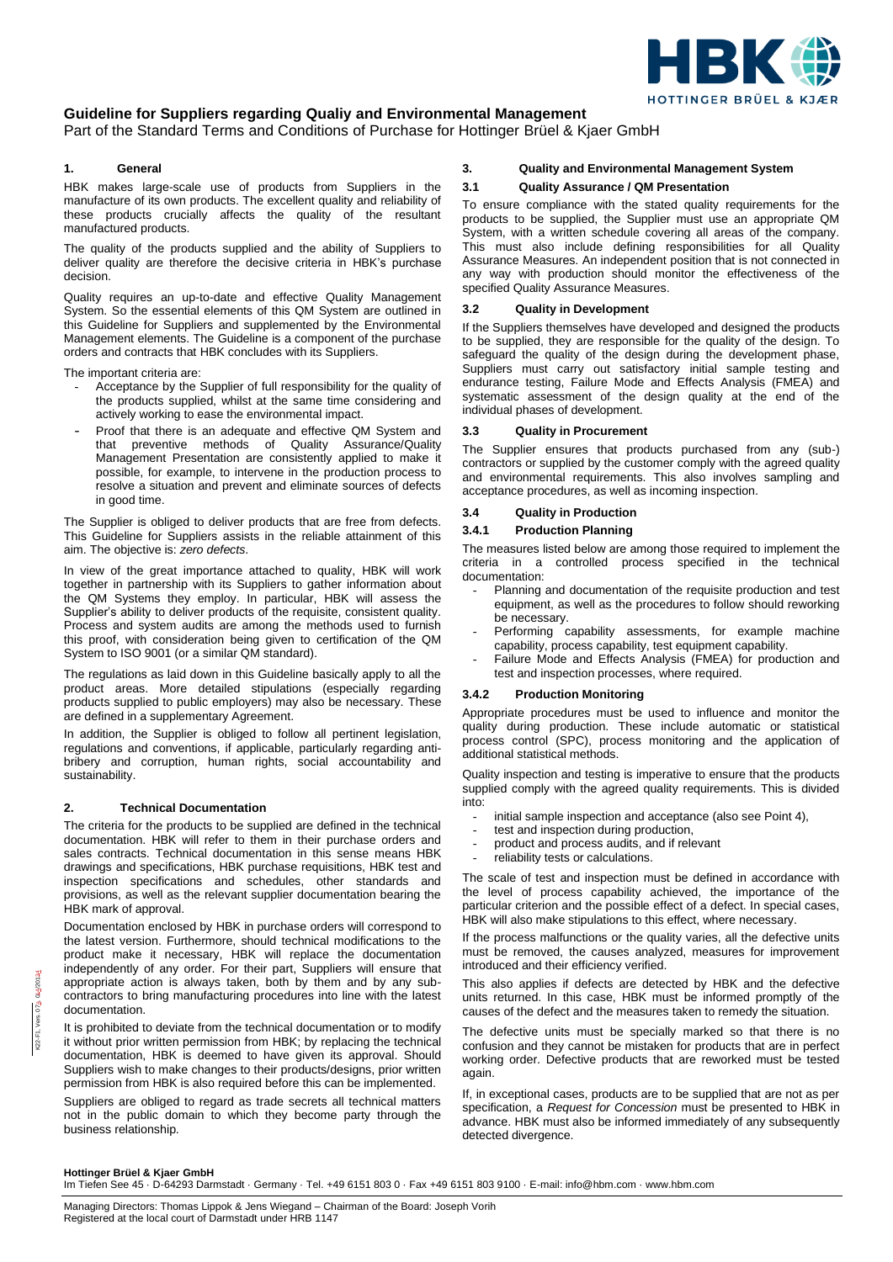

# **Guideline for Suppliers regarding Qualiy and Environmental Management**

Part of the Standard Terms and Conditions of Purchase for Hottinger Brüel & Kjaer GmbH

## **1. General**

HBK makes large-scale use of products from Suppliers in the manufacture of its own products. The excellent quality and reliability of these products crucially affects the quality of the resultant manufactured products.

The quality of the products supplied and the ability of Suppliers to deliver quality are therefore the decisive criteria in HBK's purchase decision.

Quality requires an up-to-date and effective Quality Management System. So the essential elements of this QM System are outlined in this Guideline for Suppliers and supplemented by the Environmental Management elements. The Guideline is a component of the purchase orders and contracts that HBK concludes with its Suppliers.

The important criteria are:

- Acceptance by the Supplier of full responsibility for the quality of the products supplied, whilst at the same time considering and actively working to ease the environmental impact.
- Proof that there is an adequate and effective QM System and that preventive methods of Quality Assurance/Quality Management Presentation are consistently applied to make it possible, for example, to intervene in the production process to resolve a situation and prevent and eliminate sources of defects in good time.

The Supplier is obliged to deliver products that are free from defects. This Guideline for Suppliers assists in the reliable attainment of this aim. The objective is: *zero defects*.

In view of the great importance attached to quality, HBK will work together in partnership with its Suppliers to gather information about the QM Systems they employ. In particular, HBK will assess the Supplier's ability to deliver products of the requisite, consistent quality. Process and system audits are among the methods used to furnish this proof, with consideration being given to certification of the QM System to ISO 9001 (or a similar QM standard).

The regulations as laid down in this Guideline basically apply to all the product areas. More detailed stipulations (especially regarding products supplied to public employers) may also be necessary. These are defined in a supplementary Agreement.

In addition, the Supplier is obliged to follow all pertinent legislation, regulations and conventions, if applicable, particularly regarding antibribery and corruption, human rights, social accountability and sustainability.

## **2. Technical Documentation**

The criteria for the products to be supplied are defined in the technical documentation. HBK will refer to them in their purchase orders and sales contracts. Technical documentation in this sense means HBK drawings and specifications, HBK purchase requisitions, HBK test and inspection specifications and schedules, other standards and provisions, as well as the relevant supplier documentation bearing the HBK mark of approval.

Documentation enclosed by HBK in purchase orders will correspond to the latest version. Furthermore, should technical modifications to the product make it necessary, HBK will replace the documentation independently of any order. For their part, Suppliers will ensure that appropriate action is always taken, both by them and by any subcontractors to bring manufacturing procedures into line with the latest documentation.

It is prohibited to deviate from the technical documentation or to modify it without prior written permission from HBK; by replacing the technical documentation, HBK is deemed to have given its approval. Should Suppliers wish to make changes to their products/designs, prior written permission from HBK is also required before this can be implemented.

Suppliers are obliged to regard as trade secrets all technical matters not in the public domain to which they become party through the business relationship.

## **3. Quality and Environmental Management System**

## **3.1 Quality Assurance / QM Presentation**

To ensure compliance with the stated quality requirements for the products to be supplied, the Supplier must use an appropriate QM System, with a written schedule covering all areas of the company. This must also include defining responsibilities for all Quality Assurance Measures. An independent position that is not connected in any way with production should monitor the effectiveness of the specified Quality Assurance Measures.

## **3.2 Quality in Development**

If the Suppliers themselves have developed and designed the products to be supplied, they are responsible for the quality of the design. To safeguard the quality of the design during the development phase, Suppliers must carry out satisfactory initial sample testing and endurance testing, Failure Mode and Effects Analysis (FMEA) and systematic assessment of the design quality at the end of the individual phases of development.

### **3.3 Quality in Procurement**

The Supplier ensures that products purchased from any (sub-) contractors or supplied by the customer comply with the agreed quality and environmental requirements. This also involves sampling and acceptance procedures, as well as incoming inspection.

## **3.4 Quality in Production**

## **3.4.1 Production Planning**

The measures listed below are among those required to implement the criteria in a controlled process specified in the technical documentation:

- Planning and documentation of the requisite production and test equipment, as well as the procedures to follow should reworking be necessary.
- Performing capability assessments, for example machine capability, process capability, test equipment capability.
- Failure Mode and Effects Analysis (FMEA) for production and test and inspection processes, where required.

## **3.4.2 Production Monitoring**

Appropriate procedures must be used to influence and monitor the quality during production. These include automatic or statistical process control (SPC), process monitoring and the application of additional statistical methods.

Quality inspection and testing is imperative to ensure that the products supplied comply with the agreed quality requirements. This is divided into:

- initial sample inspection and acceptance (also see Point 4),
- test and inspection during production.
- product and process audits, and if relevant
- reliability tests or calculations.

The scale of test and inspection must be defined in accordance with the level of process capability achieved, the importance of the particular criterion and the possible effect of a defect. In special cases, HBK will also make stipulations to this effect, where necessary.

If the process malfunctions or the quality varies, all the defective units must be removed, the causes analyzed, measures for improvement introduced and their efficiency verified.

This also applies if defects are detected by HBK and the defective units returned. In this case, HBK must be informed promptly of the causes of the defect and the measures taken to remedy the situation.

The defective units must be specially marked so that there is no confusion and they cannot be mistaken for products that are in perfect working order. Defective products that are reworked must be tested again.

If, in exceptional cases, products are to be supplied that are not as per specification, a *Request for Concession* must be presented to HBK in advance. HBK must also be informed immediately of any subsequently detected divergence.

#### **Hottinger Brüel & Kjaer GmbH**

Im Tiefen See 45 · D-64293 Darmstadt · Germany · Tel. +49 6151 803 0 · Fax +49 6151 803 9100 · E-mail: info@hbm.com · www.hbm.com